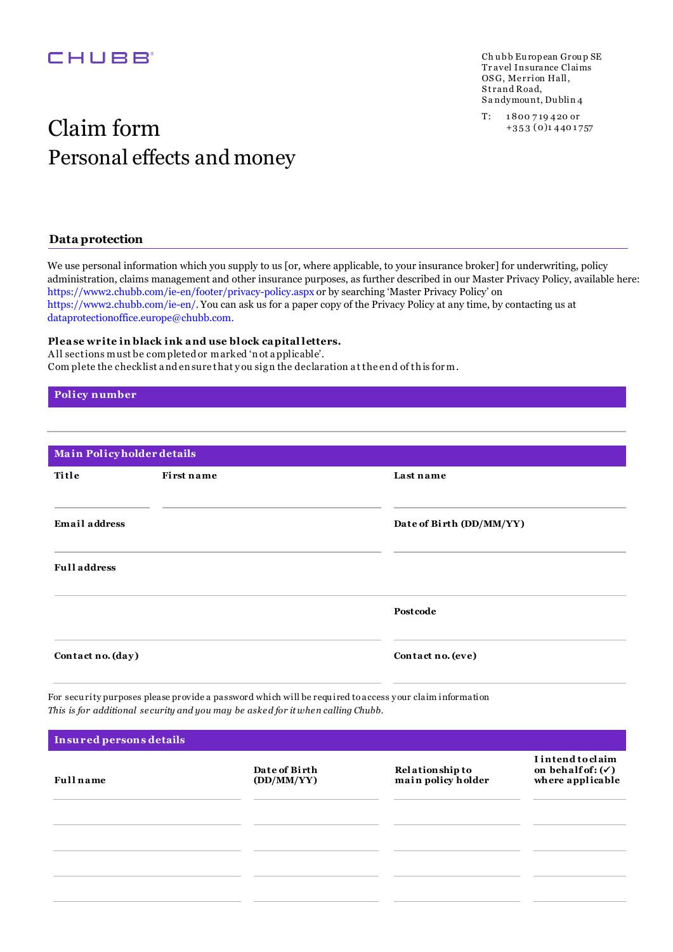## **CHUBB**

Ch ubb European Group SE Tr avel Insurance Claims OSG, Merrion Hall, Strand Road, S a ndymou nt, Du blin 4

# $\operatorname{Claim}\lim \lim \inf_{\scriptscriptstyle +353\, (0)_{1\,440\,1757}}$ Personal effects and money

### **Data protection**

We use personal information which you supply to us [or, where applicable, to your insurance broker] for underwriting, policy administration, claims management and other insurance purposes, as further described in our Master Privacy Policy, available here: https://www2.chubb.com/ie-en/footer/privacy-policy.aspx or by searching 'Master Privacy Policy' on https://www2.chubb.com/ie-en/. You can ask us for a paper copy of the Privacy Policy at any time, by contacting us at dataprotectionoffice.europe@chubb.com.

#### **Plea se write in black ink a nd use block ca pital letters.**

A ll sections must be completed or marked 'n ot a pplicable'. Com plete the checklist a nd en sure that y ou sig n the declaration a t the en d of th is for m.

#### **Policy number**

| Main Policyholder details |                          |
|---------------------------|--------------------------|
| First name                | Last name                |
|                           | Date of Birth (DD/MM/YY) |
|                           |                          |
|                           | Postcode                 |
| Contact no. (day)         | Contact no. (eve)        |
|                           |                          |

For secu rity purposes please provide a password which will be requ ired to access your claim information This is for additional security and you may be asked for it when calling Chubb.

| Insured persons details |                             |                                              |                                                                              |
|-------------------------|-----------------------------|----------------------------------------------|------------------------------------------------------------------------------|
| <b>Full</b> name        | Date of Birth<br>(DD/MM/YY) | <b>Relationship to</b><br>main policy holder | <b>I</b> intend to claim<br>on behalf of: $(\checkmark)$<br>where applicable |
|                         |                             |                                              |                                                                              |
|                         |                             |                                              |                                                                              |
|                         |                             |                                              |                                                                              |
|                         |                             |                                              |                                                                              |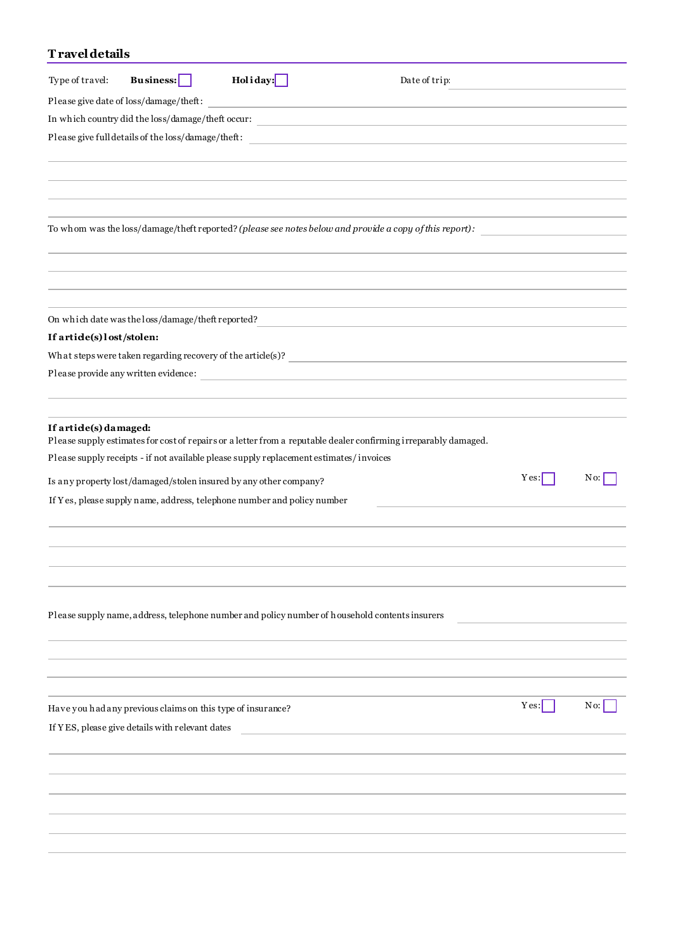## **T ravel details**

| Type of travel:                                                                                                 | <b>Business:</b> | Holiday:                                                                                                             | Date of trip: |      |                          |
|-----------------------------------------------------------------------------------------------------------------|------------------|----------------------------------------------------------------------------------------------------------------------|---------------|------|--------------------------|
| Please give date of loss/damage/theft:                                                                          |                  |                                                                                                                      |               |      |                          |
| In which country did the loss/damage/theft occur:                                                               |                  |                                                                                                                      |               |      |                          |
|                                                                                                                 |                  |                                                                                                                      |               |      |                          |
|                                                                                                                 |                  |                                                                                                                      |               |      |                          |
|                                                                                                                 |                  |                                                                                                                      |               |      |                          |
|                                                                                                                 |                  |                                                                                                                      |               |      |                          |
|                                                                                                                 |                  |                                                                                                                      |               |      |                          |
| To whom was the loss/damage/theft reported? (please see notes below and provide a copy of this report):         |                  |                                                                                                                      |               |      |                          |
|                                                                                                                 |                  |                                                                                                                      |               |      |                          |
|                                                                                                                 |                  |                                                                                                                      |               |      |                          |
|                                                                                                                 |                  |                                                                                                                      |               |      |                          |
|                                                                                                                 |                  |                                                                                                                      |               |      |                          |
| On which date was the loss/damage/theft reported?                                                               |                  |                                                                                                                      |               |      |                          |
| If artide(s) lost/stolen:                                                                                       |                  |                                                                                                                      |               |      |                          |
| What steps were taken regarding recovery of the article(s)? $\frac{1}{2}$                                       |                  |                                                                                                                      |               |      |                          |
| Please provide any written evidence:                                                                            |                  | <u> 1980 - John Stein, mars and de Britain and de Britain and de Britain and de Britain and de Britain and de Br</u> |               |      |                          |
|                                                                                                                 |                  |                                                                                                                      |               |      |                          |
| If artide(s) damaged:                                                                                           |                  |                                                                                                                      |               |      |                          |
| Please supply estimates for cost of repairs or a letter from a reputable dealer confirming irreparably damaged. |                  |                                                                                                                      |               |      |                          |
| Please supply receipts - if not available please supply replacement estimates/invoices                          |                  |                                                                                                                      |               |      |                          |
| Is any property lost/damaged/stolen insured by any other company?                                               |                  |                                                                                                                      |               | Yes: | No:                      |
| If Yes, please supply name, address, telephone number and policy number                                         |                  |                                                                                                                      |               |      |                          |
|                                                                                                                 |                  |                                                                                                                      |               |      |                          |
|                                                                                                                 |                  |                                                                                                                      |               |      |                          |
|                                                                                                                 |                  |                                                                                                                      |               |      |                          |
|                                                                                                                 |                  |                                                                                                                      |               |      |                          |
|                                                                                                                 |                  |                                                                                                                      |               |      |                          |
| Please supply name, address, telephone number and policy number of household contents insurers                  |                  |                                                                                                                      |               |      |                          |
|                                                                                                                 |                  |                                                                                                                      |               |      |                          |
|                                                                                                                 |                  |                                                                                                                      |               |      |                          |
|                                                                                                                 |                  |                                                                                                                      |               |      |                          |
|                                                                                                                 |                  |                                                                                                                      |               |      |                          |
| Have you had any previous claims on this type of insurance?                                                     |                  |                                                                                                                      |               | Yes: | $\overline{\text{No}}$ : |
| If YES, please give details with relevant dates                                                                 |                  |                                                                                                                      |               |      |                          |
|                                                                                                                 |                  |                                                                                                                      |               |      |                          |
|                                                                                                                 |                  |                                                                                                                      |               |      |                          |
|                                                                                                                 |                  |                                                                                                                      |               |      |                          |
|                                                                                                                 |                  |                                                                                                                      |               |      |                          |
|                                                                                                                 |                  |                                                                                                                      |               |      |                          |
|                                                                                                                 |                  |                                                                                                                      |               |      |                          |
|                                                                                                                 |                  |                                                                                                                      |               |      |                          |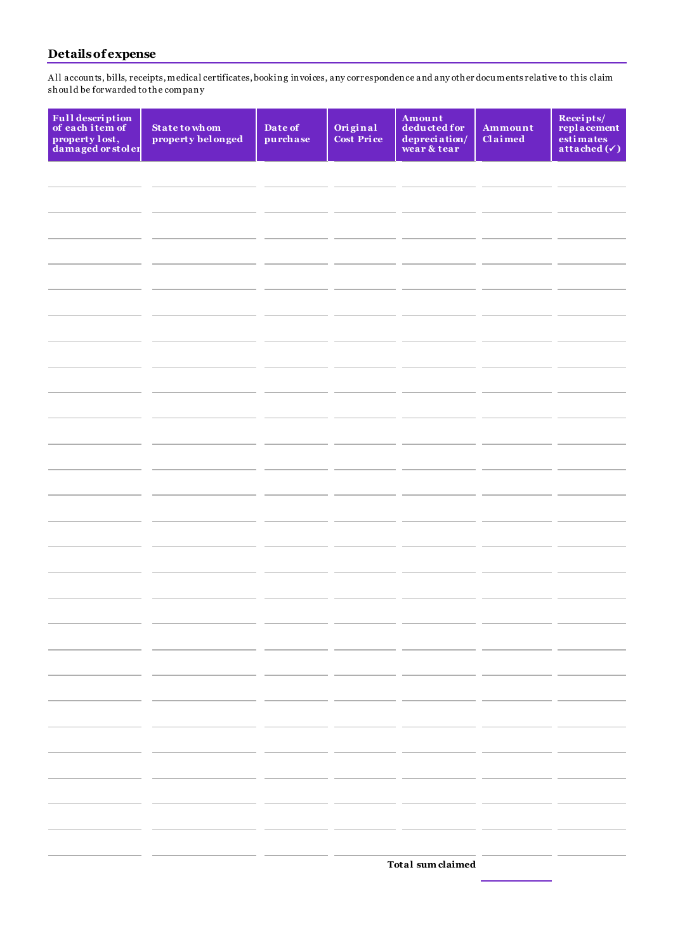## **Details of expense**

A ll accounts, bills, receipts, medical certificates, booking invoices, any correspondence and any other docu ments relative to this claim shou ld be forwarded to the company

| Full description<br>of each item of<br>property lost,<br>damaged or stoler | <b>State to whom</b><br>property belonged | Date of<br>purchase | Original<br>Cost Price | Amount<br>deducted for<br>depreciation/<br>wear & tear | Ammount<br>$Cl$ aimed | Receipts/<br>replacement<br>estimates<br>$\overline{\mathbf{attached}}(\checkmark)$ |
|----------------------------------------------------------------------------|-------------------------------------------|---------------------|------------------------|--------------------------------------------------------|-----------------------|-------------------------------------------------------------------------------------|
|                                                                            |                                           |                     |                        |                                                        |                       |                                                                                     |
|                                                                            |                                           |                     |                        |                                                        |                       |                                                                                     |
|                                                                            |                                           |                     |                        |                                                        |                       |                                                                                     |
|                                                                            |                                           |                     |                        |                                                        |                       |                                                                                     |
|                                                                            |                                           |                     |                        |                                                        |                       |                                                                                     |
|                                                                            |                                           |                     |                        |                                                        |                       |                                                                                     |
|                                                                            |                                           |                     |                        |                                                        |                       |                                                                                     |
|                                                                            |                                           |                     |                        |                                                        |                       |                                                                                     |
|                                                                            |                                           |                     |                        |                                                        |                       |                                                                                     |
|                                                                            |                                           |                     |                        |                                                        |                       |                                                                                     |
|                                                                            |                                           |                     |                        |                                                        |                       |                                                                                     |
|                                                                            |                                           |                     |                        |                                                        |                       |                                                                                     |
|                                                                            |                                           |                     |                        |                                                        |                       |                                                                                     |
|                                                                            |                                           |                     |                        |                                                        |                       |                                                                                     |
|                                                                            |                                           |                     |                        |                                                        |                       |                                                                                     |
|                                                                            |                                           |                     |                        |                                                        |                       |                                                                                     |
|                                                                            |                                           |                     |                        |                                                        |                       |                                                                                     |

**Total sum claimed**